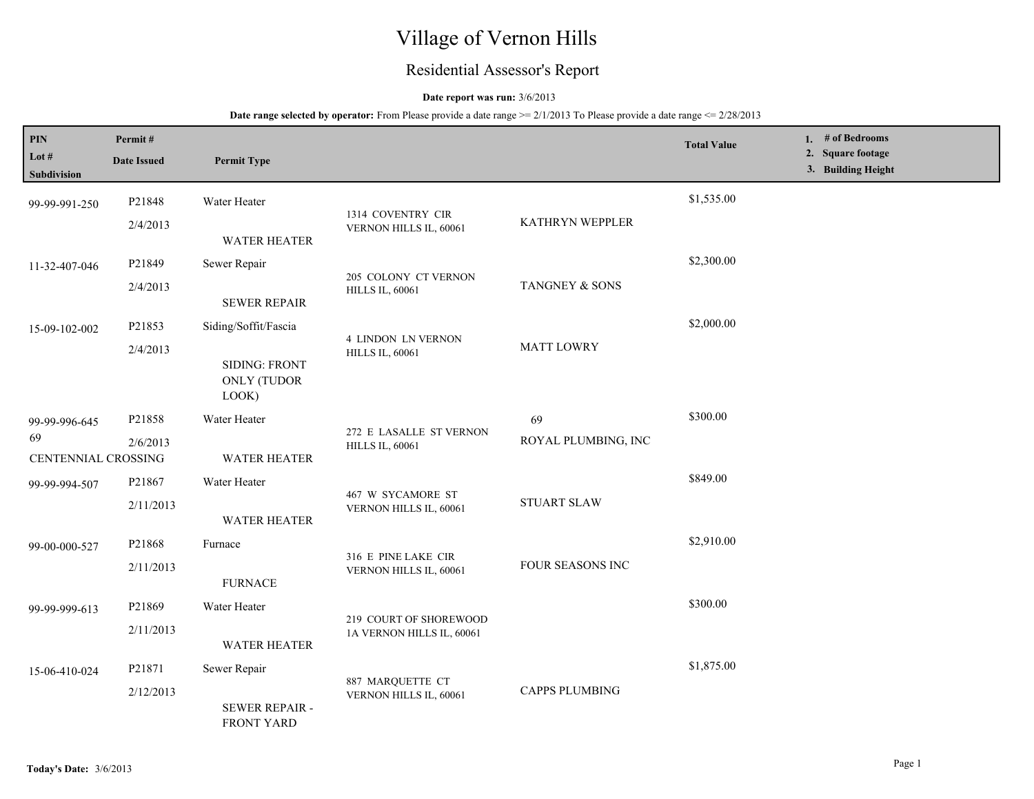# Village of Vernon Hills

# Residential Assessor's Report

## **Date report was run:** 3/6/2013

## **Date range selected by operator:** From Please provide a date range  $\ge 2/1/2013$  To Please provide a date range  $\le 2/28/2013$

| PIN<br>Lot $#$<br>Subdivision | Permit#<br><b>Date Issued</b>                    | <b>Permit Type</b>                           |                                                     |                     | <b>Total Value</b> | 1. # of Bedrooms<br>2. Square footage<br>3. Building Height |
|-------------------------------|--------------------------------------------------|----------------------------------------------|-----------------------------------------------------|---------------------|--------------------|-------------------------------------------------------------|
| 99-99-991-250                 | P21848<br>2/4/2013                               | Water Heater                                 | 1314 COVENTRY CIR<br>VERNON HILLS IL, 60061         | KATHRYN WEPPLER     | \$1,535.00         |                                                             |
|                               |                                                  | <b>WATER HEATER</b>                          |                                                     |                     |                    |                                                             |
| 11-32-407-046                 | P21849                                           | Sewer Repair                                 | 205 COLONY CT VERNON<br><b>HILLS IL, 60061</b>      | TANGNEY & SONS      | \$2,300.00         |                                                             |
|                               | 2/4/2013                                         | <b>SEWER REPAIR</b>                          |                                                     |                     |                    |                                                             |
| 15-09-102-002                 | P21853                                           | Siding/Soffit/Fascia                         | <b>4 LINDON LN VERNON</b><br><b>HILLS IL, 60061</b> | <b>MATT LOWRY</b>   | \$2,000.00         |                                                             |
|                               | 2/4/2013                                         | <b>SIDING: FRONT</b><br>ONLY (TUDOR<br>LOOK) |                                                     |                     |                    |                                                             |
| 99-99-996-645                 | P21858                                           | Water Heater                                 |                                                     | 69                  | \$300.00           |                                                             |
| 69<br>CENTENNIAL CROSSING     | 2/6/2013                                         | <b>WATER HEATER</b>                          | 272 E LASALLE ST VERNON<br><b>HILLS IL, 60061</b>   | ROYAL PLUMBING, INC |                    |                                                             |
| 99-99-994-507                 | P21867                                           | Water Heater                                 | 467 W SYCAMORE ST<br>VERNON HILLS IL, 60061         | <b>STUART SLAW</b>  | \$849.00           |                                                             |
|                               | 2/11/2013                                        | <b>WATER HEATER</b>                          |                                                     |                     |                    |                                                             |
| 99-00-000-527                 | P21868                                           | Furnace                                      | 316 E PINE LAKE CIR<br>VERNON HILLS IL, 60061       | FOUR SEASONS INC    | \$2,910.00         |                                                             |
|                               | 2/11/2013                                        | <b>FURNACE</b>                               |                                                     |                     |                    |                                                             |
| 99-99-999-613                 | P21869                                           | Water Heater                                 | 219 COURT OF SHOREWOOD<br>1A VERNON HILLS IL, 60061 |                     | \$300.00           |                                                             |
|                               | 2/11/2013                                        | <b>WATER HEATER</b>                          |                                                     |                     |                    |                                                             |
| 15-06-410-024                 | P21871                                           | Sewer Repair                                 | 887 MARQUETTE CT                                    |                     | \$1,875.00         |                                                             |
|                               | 2/12/2013<br>SEWER REPAIR -<br><b>FRONT YARD</b> | VERNON HILLS IL, 60061                       | <b>CAPPS PLUMBING</b>                               |                     |                    |                                                             |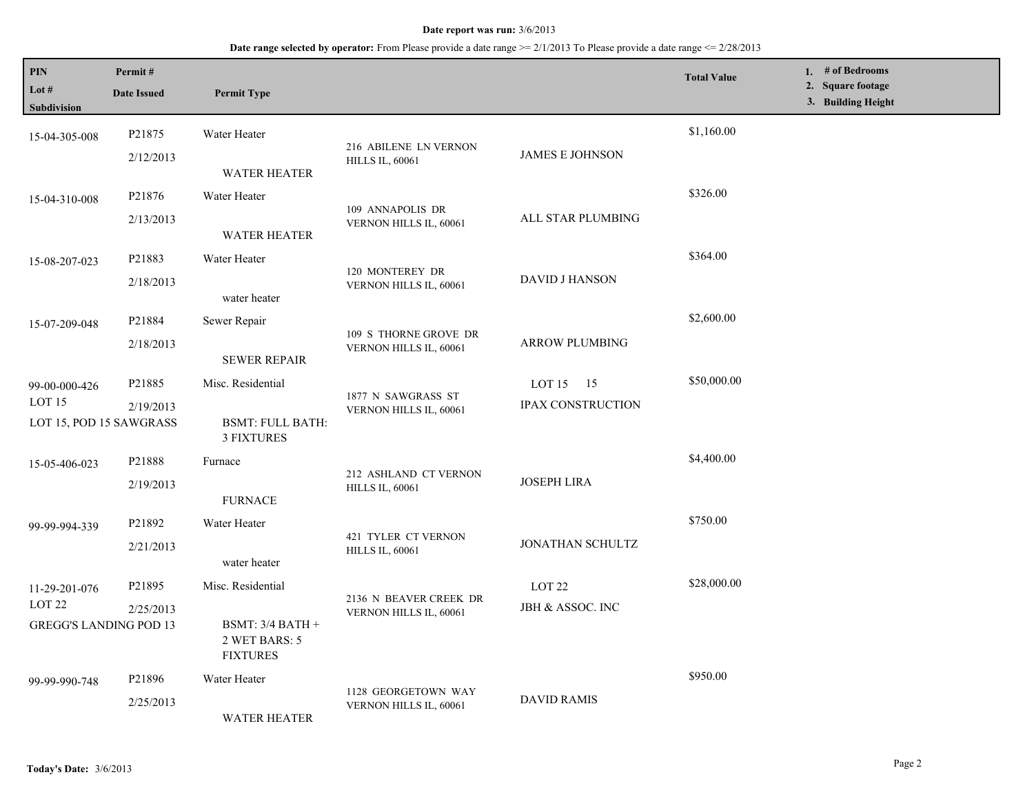#### **Date report was run:** 3/6/2013

# **Date range selected by operator:** From Please provide a date range >= 2/1/2013 To Please provide a date range <= 2/28/2013

| PIN<br>Lot #<br>Subdivision                                         | Permit#<br><b>Date Issued</b> | <b>Permit Type</b>                                     |                                                 |                          | <b>Total Value</b> | 1. # of Bedrooms<br>2. Square footage<br>3. Building Height |
|---------------------------------------------------------------------|-------------------------------|--------------------------------------------------------|-------------------------------------------------|--------------------------|--------------------|-------------------------------------------------------------|
| 15-04-305-008                                                       | P21875                        | Water Heater                                           | 216 ABILENE LN VERNON<br><b>HILLS IL, 60061</b> | JAMES E JOHNSON          | \$1,160.00         |                                                             |
|                                                                     | 2/12/2013                     | <b>WATER HEATER</b>                                    |                                                 |                          |                    |                                                             |
| 15-04-310-008                                                       | P21876                        | Water Heater                                           | 109 ANNAPOLIS DR<br>VERNON HILLS IL, 60061      | ALL STAR PLUMBING        | \$326.00           |                                                             |
|                                                                     | 2/13/2013                     | <b>WATER HEATER</b>                                    |                                                 |                          |                    |                                                             |
| 15-08-207-023                                                       | P21883                        | Water Heater                                           | 120 MONTEREY DR<br>VERNON HILLS IL, 60061       | <b>DAVID J HANSON</b>    | \$364.00           |                                                             |
|                                                                     | 2/18/2013                     | water heater                                           |                                                 |                          |                    |                                                             |
| 15-07-209-048                                                       | P21884                        | Sewer Repair                                           | 109 S THORNE GROVE DR<br>VERNON HILLS IL, 60061 | <b>ARROW PLUMBING</b>    | \$2,600.00         |                                                             |
|                                                                     | 2/18/2013                     | <b>SEWER REPAIR</b>                                    |                                                 |                          |                    |                                                             |
| 99-00-000-426                                                       | P21885                        | Misc. Residential                                      |                                                 | LOT $15 \t 15$           | \$50,000.00        |                                                             |
| LOT <sub>15</sub><br>2/19/2013<br>LOT 15, POD 15 SAWGRASS           |                               | <b>BSMT: FULL BATH:</b><br><b>3 FIXTURES</b>           | 1877 N SAWGRASS ST<br>VERNON HILLS IL, 60061    | <b>IPAX CONSTRUCTION</b> |                    |                                                             |
| 15-05-406-023                                                       | P21888                        | Furnace                                                |                                                 | <b>JOSEPH LIRA</b>       | \$4,400.00         |                                                             |
|                                                                     | 2/19/2013                     | <b>FURNACE</b>                                         | 212 ASHLAND CT VERNON<br><b>HILLS IL, 60061</b> |                          |                    |                                                             |
| 99-99-994-339                                                       | P21892                        | Water Heater                                           | 421 TYLER CT VERNON<br><b>HILLS IL, 60061</b>   | JONATHAN SCHULTZ         | \$750.00           |                                                             |
|                                                                     | 2/21/2013                     | water heater                                           |                                                 |                          |                    |                                                             |
| 11-29-201-076<br>LOT <sub>22</sub><br><b>GREGG'S LANDING POD 13</b> | P21895                        | Misc. Residential                                      | 2136 N BEAVER CREEK DR                          | LOT <sub>22</sub>        | \$28,000.00        |                                                             |
|                                                                     | 2/25/2013                     | BSMT: $3/4$ BATH +<br>2 WET BARS: 5<br><b>FIXTURES</b> | VERNON HILLS IL, 60061                          | JBH & ASSOC. INC         |                    |                                                             |
| 99-99-990-748                                                       | P21896                        | Water Heater                                           |                                                 | <b>DAVID RAMIS</b>       | \$950.00           |                                                             |
|                                                                     | 2/25/2013                     | <b>WATER HEATER</b>                                    | 1128 GEORGETOWN WAY<br>VERNON HILLS IL, 60061   |                          |                    |                                                             |